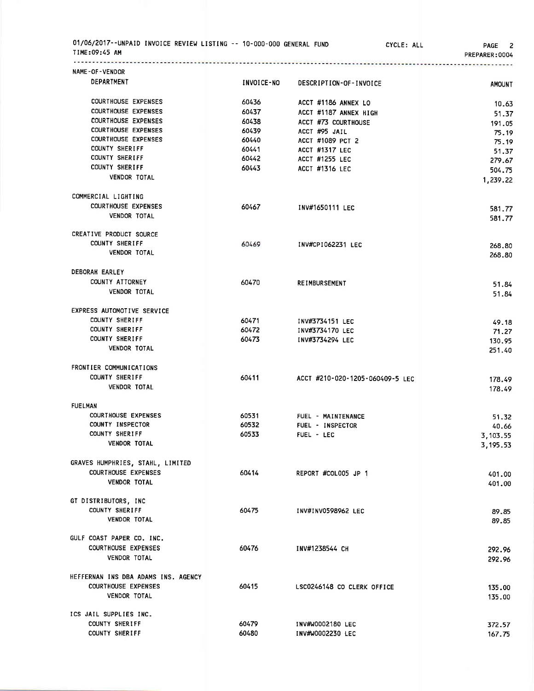| 01/06/2017--UNPAID INVOICE REVIEW LISTING -- 10-000-000 GENERAL FUND<br>TIME:09:45 AM | . <i>.</i> | CYCLE: ALL                      | 2<br><b>PAGE</b><br>PREPARER: 0004 |
|---------------------------------------------------------------------------------------|------------|---------------------------------|------------------------------------|
| NAME-OF-VENDOR                                                                        |            |                                 |                                    |
| DEPARTMENT                                                                            | INVOICE-NO | DESCRIPTION-OF-INVOICE          | <b>AMOUNT</b>                      |
| <b>COURTHOUSE EXPENSES</b>                                                            | 60436      | ACCT #1186 ANNEX LO             | 10.63                              |
| <b>COURTHOUSE EXPENSES</b>                                                            | 60437      | ACCT #1187 ANNEX HIGH           | 51.37                              |
| <b>COURTHOUSE EXPENSES</b>                                                            | 60438      | ACCT #73 COURTHOUSE             | 191.05                             |
| <b>COURTHOUSE EXPENSES</b>                                                            | 60439      | ACCT #95 JAIL                   | 75.19                              |
| <b>COURTHOUSE EXPENSES</b>                                                            | 60440      | ACCT #1089 PCT 2                | 75.19                              |
| <b>COUNTY SHERIFF</b>                                                                 | 60441      | <b>ACCT #1317 LEC</b>           | 51.37                              |
| COUNTY SHERIFF                                                                        | 60442      | ACCT #1255 LEC                  | 279.67                             |
| <b>COUNTY SHERIFF</b>                                                                 | 60443      | ACCT #1316 LEC                  | 504.75                             |
| <b>VENDOR TOTAL</b>                                                                   |            |                                 | 1,239.22                           |
| COMMERCIAL LIGHTING                                                                   |            |                                 |                                    |
| <b>COURTHOUSE EXPENSES</b>                                                            | 60467      | INV#1650111 LEC                 | 581.77                             |
| <b>VENDOR TOTAL</b>                                                                   |            |                                 | 581.77                             |
| CREATIVE PRODUCT SOURCE                                                               |            |                                 |                                    |
| <b>COUNTY SHERIFF</b>                                                                 | 60469      | INV#CPI062231 LEC               | 268,80                             |
| <b>VENDOR TOTAL</b>                                                                   |            |                                 | 268.80                             |
| DEBORAH EARLEY                                                                        |            |                                 |                                    |
| COUNTY ATTORNEY                                                                       | 60470      | <b>REIMBURSEMENT</b>            | 51.84                              |
| <b>VENDOR TOTAL</b>                                                                   |            |                                 | 51.84                              |
| EXPRESS AUTOMOTIVE SERVICE                                                            |            |                                 |                                    |
| COUNTY SHERIFF                                                                        | 60471      | INV#3734151 LEC                 | 49.18                              |
| <b>COUNTY SHERIFF</b>                                                                 | 60472      | INV#3734170 LEC                 | 71.27                              |
| <b>COUNTY SHERIFF</b>                                                                 | 60473      | INV#3734294 LEC                 | 130.95                             |
| <b>VENDOR TOTAL</b>                                                                   |            |                                 | 251.40                             |
| FRONTIER COMMUNICATIONS                                                               |            |                                 |                                    |
| <b>COUNTY SHERIFF</b>                                                                 | 60411      | ACCT #210-020-1205-060409-5 LEC | 178.49                             |
| <b>VENDOR TOTAL</b>                                                                   |            |                                 | 178.49                             |
| <b>FUELMAN</b>                                                                        |            |                                 |                                    |
| <b>COURTHOUSE EXPENSES</b>                                                            | 60531      | FUEL - MAINTENANCE              | 51.32                              |
| COUNTY INSPECTOR                                                                      | 60532      | FUEL - INSPECTOR                | 40.66                              |
| COUNTY SHERIFF                                                                        | 60533      | FUEL - LEC                      | 3,103.55                           |
| <b>VENDOR TOTAL</b>                                                                   |            |                                 | 3,195.53                           |
| GRAVES HUMPHRIES, STAHL, LIMITED                                                      |            |                                 |                                    |
| <b>COURTHOUSE EXPENSES</b>                                                            | 60414      | REPORT #COLOO5 JP 1             | 401.00                             |
| <b>VENDOR TOTAL</b>                                                                   |            |                                 | 401.00                             |
| GT DISTRIBUTORS, INC                                                                  |            |                                 |                                    |
| COUNTY SHERIFF                                                                        | 60475      | INV#INV0598962 LEC              | 89.85                              |
| <b>VENDOR TOTAL</b>                                                                   |            |                                 | 89.85                              |
| GULF COAST PAPER CO. INC.                                                             |            |                                 |                                    |
| <b>COURTHOUSE EXPENSES</b>                                                            | 60476      | INV#1238544 CH                  | 292.96                             |
| VENDOR TOTAL                                                                          |            |                                 | 292.96                             |
| HEFFERNAN INS DBA ADAMS INS. AGENCY                                                   |            |                                 |                                    |
| <b>COURTHOUSE EXPENSES</b>                                                            | 60415      | LSC0246148 CO CLERK OFFICE      | 135.00                             |
| VENDOR TOTAL                                                                          |            |                                 | 135.00                             |
| ICS JAIL SUPPLIES INC.                                                                |            |                                 |                                    |
| COUNTY SHERIFF                                                                        | 60479      | INV#W0002180 LEC                | 372.57                             |
| COUNTY SHERIFF                                                                        | 60480      | INV#W0002230 LEC                | 167.75                             |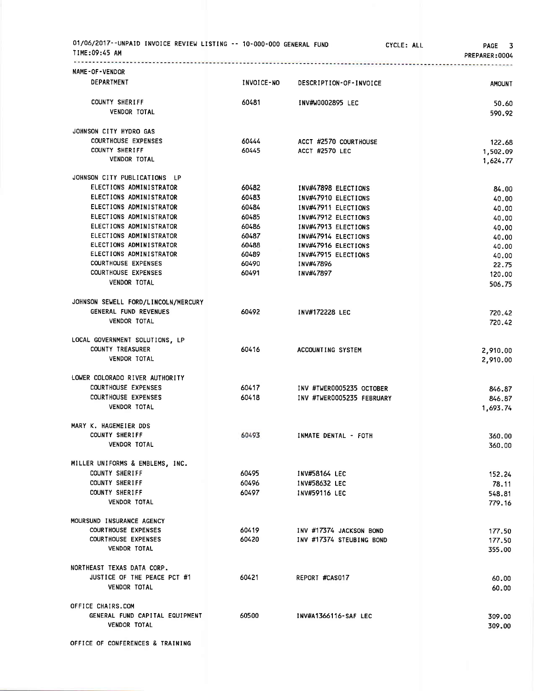| 01/06/2017--UNPAID INVOICE REVIEW LISTING -- 10-000-000 GENERAL FUND<br>TIME:09:45 AM |            |                           | CYCLE: ALL<br>PAGE 3<br>PREPARER: 0004 |
|---------------------------------------------------------------------------------------|------------|---------------------------|----------------------------------------|
| NAME-OF-VENDOR                                                                        |            |                           |                                        |
| DEPARTMENT                                                                            | INVOICE-NO | DESCRIPTION-OF-INVOICE    | <b>AMOUNT</b>                          |
| COUNTY SHERIFF                                                                        | 60481      | INV#W0002895 LEC          | 50.60                                  |
| <b>VENDOR TOTAL</b>                                                                   |            |                           | 590.92                                 |
| JOHNSON CITY HYDRO GAS                                                                |            |                           |                                        |
| <b>COURTHOUSE EXPENSES</b>                                                            | 60444      | ACCT #2570 COURTHOUSE     | 122.68                                 |
| COUNTY SHERIFF                                                                        | 60445      | ACCT #2570 LEC            | 1,502.09                               |
| <b>VENDOR TOTAL</b>                                                                   |            |                           | 1,624.77                               |
| JOHNSON CITY PUBLICATIONS LP                                                          |            |                           |                                        |
| ELECTIONS ADMINISTRATOR                                                               | 60482      | INV#47898 ELECTIONS       | 84.00                                  |
| ELECTIONS ADMINISTRATOR                                                               | 60483      | INV#47910 ELECTIONS       | 40.00                                  |
| ELECTIONS ADMINISTRATOR                                                               | 60484      | INV#47911 ELECTIONS       | 40.00                                  |
| ELECTIONS ADMINISTRATOR                                                               | 60485      | INV#47912 ELECTIONS       | 40.00                                  |
| ELECTIONS ADMINISTRATOR                                                               | 60486      | INV#47913 ELECTIONS       | 40.00                                  |
| ELECTIONS ADMINISTRATOR                                                               | 60487      | INV#47914 ELECTIONS       | 40.00                                  |
| ELECTIONS ADMINISTRATOR                                                               | 60488      | INV#47916 ELECTIONS       | 40.00                                  |
| ELECTIONS ADMINISTRATOR                                                               | 60489      | INV#47915 ELECTIONS       | 40.00                                  |
| <b>COURTHOUSE EXPENSES</b><br><b>COURTHOUSE EXPENSES</b>                              | 60490      | INV#47896                 | 22.75                                  |
|                                                                                       | 60491      | INV#47897                 | 120.00                                 |
| <b>VENDOR TOTAL</b>                                                                   |            |                           | 506.75                                 |
| JOHNSON SEWELL FORD/LINCOLN/MERCURY                                                   |            |                           |                                        |
| GENERAL FUND REVENUES                                                                 | 60492      | INV#172228 LEC            | 720.42                                 |
| <b>VENDOR TOTAL</b>                                                                   |            |                           | 720.42                                 |
| LOCAL GOVERNMENT SOLUTIONS, LP                                                        |            |                           |                                        |
| <b>COUNTY TREASURER</b>                                                               | 60416      | ACCOUNTING SYSTEM         | 2,910.00                               |
| <b>VENDOR TOTAL</b>                                                                   |            |                           | 2,910.00                               |
| LOWER COLORADO RIVER AUTHORITY                                                        |            |                           |                                        |
| <b>COURTHOUSE EXPENSES</b>                                                            | 60417      | INV #TWER0005235 OCTOBER  | 846.87                                 |
| <b>COURTHOUSE EXPENSES</b>                                                            | 60418      | INV #TWER0005235 FEBRUARY | 846.87                                 |
| VENDOR TOTAL                                                                          |            |                           | 1,693.74                               |
| MARY K. HAGEMEIER DDS                                                                 |            |                           |                                        |
| <b>COUNTY SHERIFF</b>                                                                 | 60493      | INMATE DENTAL - FOTH      | 360.00                                 |
| <b>VENDOR TOTAL</b>                                                                   |            |                           | 360.00                                 |
| MILLER UNIFORMS & EMBLEMS, INC.                                                       |            |                           |                                        |
| COUNTY SHERIFF                                                                        | 60495      | INV#58164 LEC             | 152.24                                 |
| <b>COUNTY SHERIFF</b>                                                                 | 60496      | INV#58632 LEC             | 78.11                                  |
| COUNTY SHERIFF                                                                        | 60497      | INV#59116 LEC             | 548.81                                 |
| <b>VENDOR TOTAL</b>                                                                   |            |                           | 779.16                                 |
| MOURSUND INSURANCE AGENCY                                                             |            |                           |                                        |
| <b>COURTHOUSE EXPENSES</b>                                                            | 60419      | INV #17374 JACKSON BOND   | 177.50                                 |
| <b>COURTHOUSE EXPENSES</b>                                                            | 60420      | INV #17374 STEUBING BOND  | 177.50                                 |
| VENDOR TOTAL                                                                          |            |                           | 355.00                                 |
| NORTHEAST TEXAS DATA CORP.                                                            |            |                           |                                        |
| JUSTICE OF THE PEACE PCT #1                                                           | 60421      | REPORT #CAS017            | 60.00                                  |
| <b>VENDOR TOTAL</b>                                                                   |            |                           | 60.00                                  |
| OFFICE CHAIRS.COM                                                                     |            |                           |                                        |
| GENERAL FUND CAPITAL EQUIPMENT                                                        | 60500      | INV#A1366116-SAF LEC      | 309.00                                 |
| <b>VENDOR TOTAL</b>                                                                   |            |                           | 309.00                                 |
| OFFICE OF CONFERENCES & TRAINING                                                      |            |                           |                                        |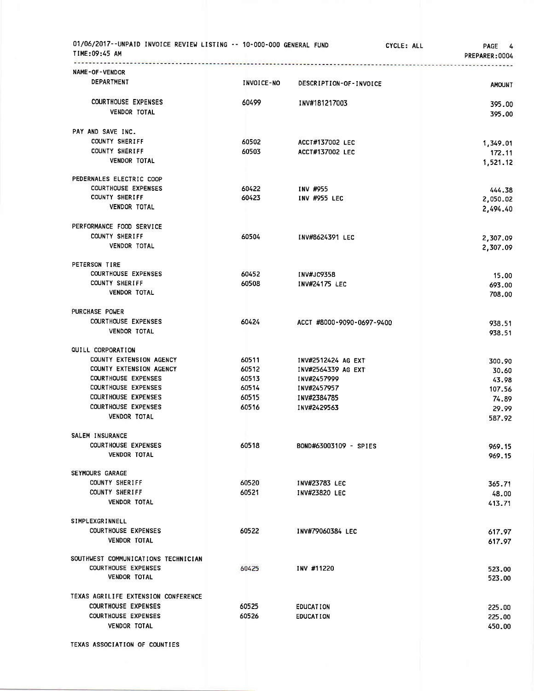| 01/06/2017--UNPAID INVOICE REVIEW LISTING -- 10-000-000 GENERAL FUND<br>TIME:09:45 AM |                | CYCLE: ALL                 | PAGE 4<br>PREPARER: 0004 |
|---------------------------------------------------------------------------------------|----------------|----------------------------|--------------------------|
| NAME-OF-VENDOR                                                                        |                |                            |                          |
| DEPARTMENT                                                                            | INVOICE-NO     | DESCRIPTION-OF-INVOICE     | <b>AMOUNT</b>            |
| <b>COURTHOUSE EXPENSES</b>                                                            | 60499          | INV#181217003              | 395.00                   |
| <b>VENDOR TOTAL</b>                                                                   |                |                            | 395.00                   |
| PAY AND SAVE INC.                                                                     |                |                            |                          |
| <b>COUNTY SHERIFF</b>                                                                 | 60502          | ACCT#137002 LEC            | 1,349.01                 |
| COUNTY SHERIFF                                                                        | 60503          | ACCT#137002 LEC            | 172.11                   |
| <b>VENDOR TOTAL</b>                                                                   |                |                            | 1,521.12                 |
| PEDERNALES ELECTRIC COOP                                                              |                |                            |                          |
| <b>COURTHOUSE EXPENSES</b>                                                            | 60422          | INV #955                   | 444.38                   |
| <b>COUNTY SHERIFF</b>                                                                 | 60423          | INV #955 LEC               | 2,050.02                 |
| <b>VENDOR TOTAL</b>                                                                   |                |                            | 2,494.40                 |
| PERFORMANCE FOOD SERVICE                                                              |                |                            |                          |
| COUNTY SHERIFF                                                                        | 60504          | INV#8624391 LEC            | 2,307.09                 |
| <b>VENDOR TOTAL</b>                                                                   |                |                            | 2,307.09                 |
| PETERSON TIRE                                                                         |                |                            |                          |
| <b>COURTHOUSE EXPENSES</b>                                                            | 60452          | <b>INV#JC9358</b>          | 15.00                    |
| COUNTY SHERIFF                                                                        | 60508          | INV#24175 LEC              | 693.00                   |
| <b>VENDOR TOTAL</b>                                                                   |                |                            | 708.00                   |
| PURCHASE POWER                                                                        |                |                            |                          |
| <b>COURTHOUSE EXPENSES</b>                                                            | 60424          | ACCT #8000-9090-0697-9400  | 938.51                   |
| <b>VENDOR TOTAL</b>                                                                   |                |                            | 938.51                   |
| QUILL CORPORATION                                                                     |                |                            |                          |
| COUNTY EXTENSION AGENCY                                                               | 60511          | INV#2512424 AG EXT         | 300.90                   |
| COUNTY EXTENSION AGENCY                                                               | 60512          | INV#2564339 AG EXT         | 30.60                    |
| <b>COURTHOUSE EXPENSES</b><br><b>COURTHOUSE EXPENSES</b>                              | 60513<br>60514 | INV#2457999<br>INV#2457957 | 43.98                    |
| <b>COURTHOUSE EXPENSES</b>                                                            | 60515          | INV#2384785                | 107.56                   |
| <b>COURTHOUSE EXPENSES</b>                                                            | 60516          | INV#2429563                | 74.89                    |
| <b>VENDOR TOTAL</b>                                                                   |                |                            | 29.99<br>587.92          |
| <b>SALEM INSURANCE</b>                                                                |                |                            |                          |
| <b>COURTHOUSE EXPENSES</b>                                                            | 60518          | BOND#63003109 - SPIES      | 969.15                   |
| <b>VENDOR TOTAL</b>                                                                   |                |                            | 969.15                   |
| SEYMOURS GARAGE                                                                       |                |                            |                          |
| COUNTY SHERIFF                                                                        | 60520          | <b>INV#23783 LEC</b>       | 365.71                   |
| <b>COUNTY SHERIFF</b>                                                                 | 60521          | INV#23820 LEC              | 48.00                    |
| <b>VENDOR TOTAL</b>                                                                   |                |                            | 413.71                   |
| SIMPLEXGRINNELL                                                                       |                |                            |                          |
| <b>COURTHOUSE EXPENSES</b>                                                            | 60522          | INV#79060384 LEC           | 617.97                   |
| <b>VENDOR TOTAL</b>                                                                   |                |                            | 617.97                   |
| SOUTHWEST COMMUNICATIONS TECHNICIAN                                                   |                |                            |                          |
| <b>COURTHOUSE EXPENSES</b>                                                            | 60425          | INV #11220                 | 523.00                   |
| <b>VENDOR TOTAL</b>                                                                   |                |                            | 523.00                   |
| TEXAS AGRILIFE EXTENSION CONFERENCE                                                   |                |                            |                          |
| <b>COURTHOUSE EXPENSES</b>                                                            | 60525          | <b>EDUCATION</b>           | 225.00                   |
| <b>COURTHOUSE EXPENSES</b>                                                            | 60526          | <b>EDUCATION</b>           | 225.00                   |
| <b>VENDOR TOTAL</b>                                                                   |                |                            | 450.00                   |
|                                                                                       |                |                            |                          |

TEXAS ASSOCIATION OF COUNTIES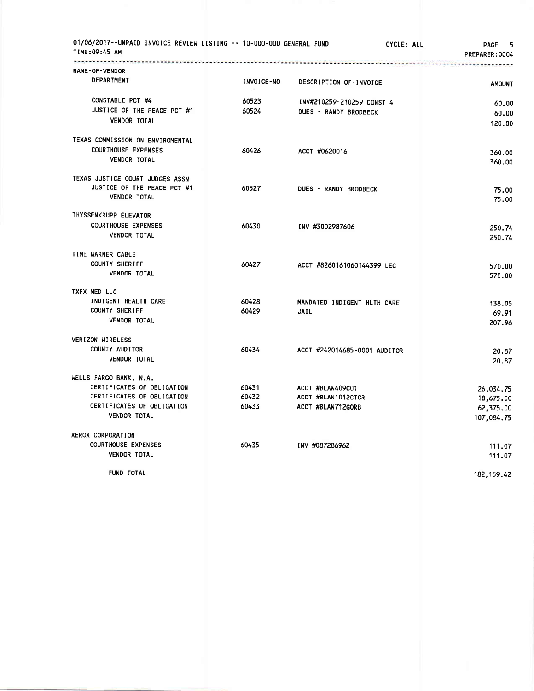| 01/06/2017--UNPAID INVOICE REVIEW LISTING -- 10-000-000 GENERAL FUND<br>TIME:09:45 AM |            |                              | CYCLE: ALL | <b>PAGE</b><br>5<br>PREPARER: 0004                 |
|---------------------------------------------------------------------------------------|------------|------------------------------|------------|----------------------------------------------------|
| <br>NAME-OF-VENDOR<br>DEPARTMENT                                                      | INVOICE-NO |                              |            |                                                    |
|                                                                                       |            | DESCRIPTION-OF-INVOICE       |            | <b>AMOUNT</b>                                      |
| CONSTABLE PCT #4                                                                      | 60523      | INV#210259-210259 CONST 4    |            | 60.00                                              |
| JUSTICE OF THE PEACE PCT #1                                                           | 60524      | DUES - RANDY BRODBECK        |            | 60.00                                              |
| <b>VENDOR TOTAL</b>                                                                   |            |                              |            | 120.00                                             |
| TEXAS COMMISSION ON ENVIROMENTAL                                                      |            |                              |            |                                                    |
| <b>COURTHOUSE EXPENSES</b>                                                            | 60426      | ACCT #0620016                |            | 360.00                                             |
| <b>VENDOR TOTAL</b>                                                                   |            |                              |            | 360.00                                             |
| TEXAS JUSTICE COURT JUDGES ASSN                                                       |            |                              |            |                                                    |
| JUSTICE OF THE PEACE PCT #1                                                           | 60527      | DUES - RANDY BRODBECK        |            | 75.00                                              |
| VENDOR TOTAL                                                                          |            |                              |            | 75.00                                              |
| THYSSENKRUPP ELEVATOR                                                                 |            |                              |            |                                                    |
| <b>COURTHOUSE EXPENSES</b><br><b>VENDOR TOTAL</b>                                     | 60430      | INV #3002987606              |            | 250.74                                             |
|                                                                                       |            |                              |            | 250.74                                             |
| TIME WARNER CABLE                                                                     |            |                              |            |                                                    |
| <b>COUNTY SHERIFF</b><br><b>VENDOR TOTAL</b>                                          | 60427      | ACCT #8260161060144399 LEC   |            | 570.00                                             |
|                                                                                       |            |                              |            | 570.00                                             |
| TXFX MED LLC<br>INDIGENT HEALTH CARE                                                  | 60428      | MANDATED INDIGENT HLTH CARE  |            |                                                    |
| <b>COUNTY SHERIFF</b>                                                                 | 60429      | <b>JAIL</b>                  |            | 138.05                                             |
| <b>VENDOR TOTAL</b>                                                                   |            |                              |            | 69.91<br>207.96                                    |
|                                                                                       |            |                              |            |                                                    |
| VERIZON WIRELESS<br>COUNTY AUDITOR                                                    | 60434      |                              |            |                                                    |
| <b>VENDOR TOTAL</b>                                                                   |            | ACCT #242014685-0001 AUDITOR |            | 20.87                                              |
|                                                                                       |            |                              |            | 20.87                                              |
| WELLS FARGO BANK, N.A.                                                                |            |                              |            |                                                    |
| CERTIFICATES OF OBLIGATION                                                            | 60431      | ACCT #BLAN409C01             |            | 26,034.75                                          |
| CERTIFICATES OF OBLIGATION                                                            | 60432      | ACCT #BLAN1012CTCR           |            | 18,675.00                                          |
| CERTIFICATES OF OBLIGATION<br><b>VENDOR TOTAL</b>                                     | 60433      | ACCT #BLAN712GORB            |            | 62,375.00                                          |
|                                                                                       |            |                              |            | 107,084.75                                         |
| XEROX CORPORATION                                                                     |            |                              |            |                                                    |
| <b>COURTHOUSE EXPENSES</b><br><b>VENDOR TOTAL</b>                                     | 60435      | INV #087286962               |            | 111.07                                             |
|                                                                                       |            |                              |            | 111.07                                             |
| <b>CUND TOTAL</b>                                                                     |            |                              |            | $\overline{100}$ $\overline{100}$ $\overline{100}$ |

FUND TOTAL

182,159.42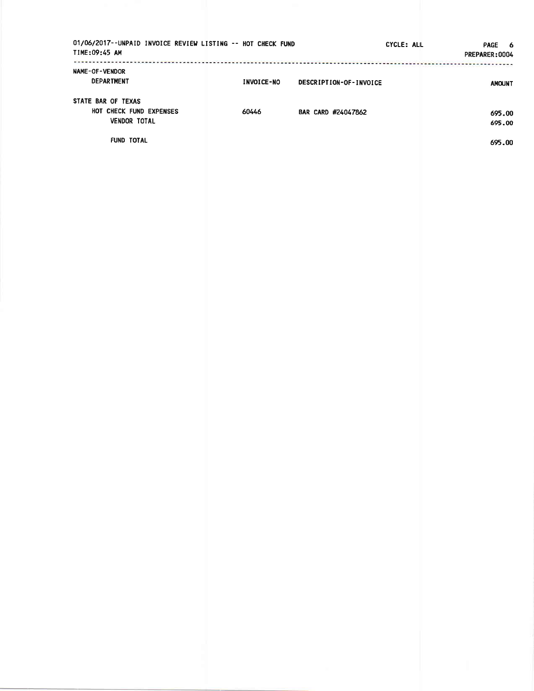| 01/06/2017--UNPAID INVOICE REVIEW LISTING -- HOT CHECK FUND<br>TIME:09:45 AM |                   | CYCLE: ALL             | <b>PAGE</b><br>- 6<br>PREPARER: 0004 |
|------------------------------------------------------------------------------|-------------------|------------------------|--------------------------------------|
| <b>NAME-OF-VENDOR</b><br>DEPARTMENT                                          | <b>INVOICE-NO</b> | DESCRIPTION-OF-INVOICE | <b>AMOUNT</b>                        |
| STATE BAR OF TEXAS<br>HOT CHECK FUND EXPENSES<br><b>VENDOR TOTAL</b>         | 60446             | BAR CARD #24047862     | 695.00<br>695.00                     |
| <b>FUND TOTAL</b>                                                            |                   |                        | 695.00                               |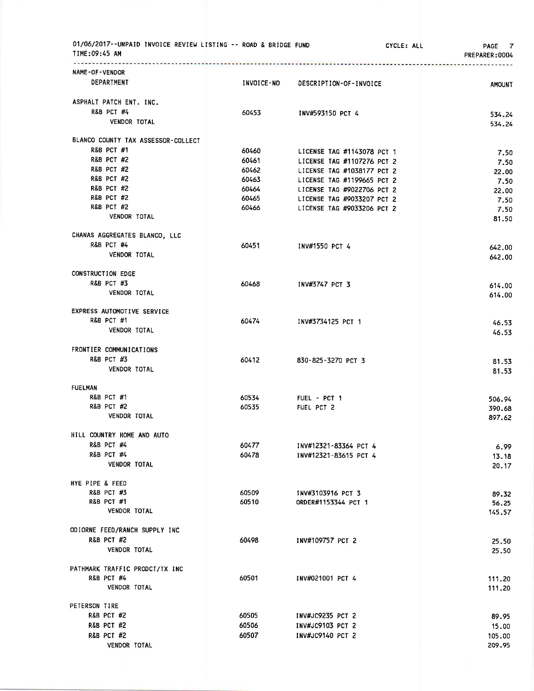| 01/06/2017--UNPAID INVOICE REVIEW LISTING -- ROAD & BRIDGE FUND<br>TIME:09:45 AM |            |                            | CYCLE: ALL<br>PAGE 7<br>PREPARER: 0004 |
|----------------------------------------------------------------------------------|------------|----------------------------|----------------------------------------|
| NAME-OF-VENDOR                                                                   |            |                            |                                        |
| DEPARTMENT                                                                       | INVOICE-NO | DESCRIPTION-OF-INVOICE     | <b>AMOUNT</b>                          |
| ASPHALT PATCH ENT. INC.                                                          |            |                            |                                        |
| <b>R&amp;B PCT #4</b>                                                            | 60453      | INV#593150 PCT 4           | 534.24                                 |
| <b>VENDOR TOTAL</b>                                                              |            |                            | 534.24                                 |
| BLANCO COUNTY TAX ASSESSOR-COLLECT                                               |            |                            |                                        |
| <b>R&amp;B PCT #1</b>                                                            | 60460      | LICENSE TAG #1143078 PCT 1 |                                        |
| <b>R&amp;B PCT #2</b>                                                            | 60461      | LICENSE TAG #1107276 PCT 2 | 7.50                                   |
| R&B PCT #2                                                                       | 60462      | LICENSE TAG #1038177 PCT 2 | 7.50                                   |
| <b>R&amp;B PCT #2</b>                                                            | 60463      | LICENSE TAG #1199665 PCT 2 | 22.00                                  |
| <b>R&amp;B PCT #2</b>                                                            | 60464      | LICENSE TAG #9022706 PCT 2 | 7.50                                   |
| <b>R&amp;B PCT #2</b>                                                            | 60465      | LICENSE TAG #9033207 PCT 2 | 22.00                                  |
| <b>R&amp;B PCT #2</b>                                                            | 60466      | LICENSE TAG #9033206 PCT 2 | 7.50<br>7.50                           |
| VENDOR TOTAL                                                                     |            |                            | 81.50                                  |
| CHANAS AGGREGATES BLANCO, LLC                                                    |            |                            |                                        |
| <b>R&amp;B PCT #4</b>                                                            | 60451      | INV#1550 PCT 4             | 642.00                                 |
| <b>VENDOR TOTAL</b>                                                              |            |                            | 642.00                                 |
| <b>CONSTRUCTION EDGE</b>                                                         |            |                            |                                        |
| <b>R&amp;B PCT #3</b>                                                            | 60468      | INV#3747 PCT 3             | 614.00                                 |
| <b>VENDOR TOTAL</b>                                                              |            |                            | 614.00                                 |
| EXPRESS AUTOMOTIVE SERVICE                                                       |            |                            |                                        |
| <b>R&amp;B PCT #1</b>                                                            | 60474      | INV#3734125 PCT 1          | 46.53                                  |
| VENDOR TOTAL                                                                     |            |                            | 46.53                                  |
| FRONTIER COMMUNICATIONS                                                          |            |                            |                                        |
| <b>R&amp;B PCT #3</b>                                                            | 60412      | 830-825-3270 PCT 3         | 81.53                                  |
| VENDOR TOTAL                                                                     |            |                            | 81.53                                  |
| <b>FUELMAN</b>                                                                   |            |                            |                                        |
| <b>R&amp;B PCT #1</b>                                                            | 60534      | FUEL - PCT 1               | 506.94                                 |
| <b>R&amp;B PCT #2</b>                                                            | 60535      | FUEL PCT 2                 | 390.68                                 |
| <b>VENDOR TOTAL</b>                                                              |            |                            | 897.62                                 |
| HILL COUNTRY HOME AND AUTO                                                       |            |                            |                                        |
| <b>R&amp;B PCT #4</b>                                                            | 60477      | INV#12321-83364 PCT 4      | 6.99                                   |
| <b>R&amp;B PCT #4</b>                                                            | 60478      | INV#12321-83615 PCT 4      | 13.18                                  |
| <b>VENDOR TOTAL</b>                                                              |            |                            | 20.17                                  |
| HYE PIPE & FEED                                                                  |            |                            |                                        |
| R&B PCT #3                                                                       | 60509      | INV#3103916 PCT 3          | 89.32                                  |
| <b>R&amp;B PCT #1</b>                                                            | 60510      | ORDER#1153344 PCT 1        | 56.25                                  |
| <b>VENDOR TOTAL</b>                                                              |            |                            | 145.57                                 |
| ODIORNE FEED/RANCH SUPPLY INC                                                    |            |                            |                                        |
| <b>R&amp;B PCT #2</b>                                                            | 60498      | INV#109757 PCT 2           | 25.50                                  |
| <b>VENDOR TOTAL</b>                                                              |            |                            | 25.50                                  |
| PATHMARK TRAFFIC PRODCT/TX INC                                                   |            |                            |                                        |
| <b>R&amp;B PCT #4</b>                                                            | 60501      | INV#021001 PCT 4           | 111.20                                 |
| <b>VENDOR TOTAL</b>                                                              |            |                            | 111.20                                 |
| PETERSON TIRE<br><b>R&amp;B PCT #2</b>                                           |            |                            |                                        |
|                                                                                  | 60505      | INV#JC9235 PCT 2           | 89.95                                  |
| <b>R&amp;B PCT #2</b>                                                            | 60506      | INV#JC9103 PCT 2           | 15.00                                  |
| <b>R&amp;B PCT #2</b>                                                            | 60507      | INV#JC9140 PCT 2           | 105.00                                 |
| <b>VENDOR TOTAL</b>                                                              |            |                            | 209.95                                 |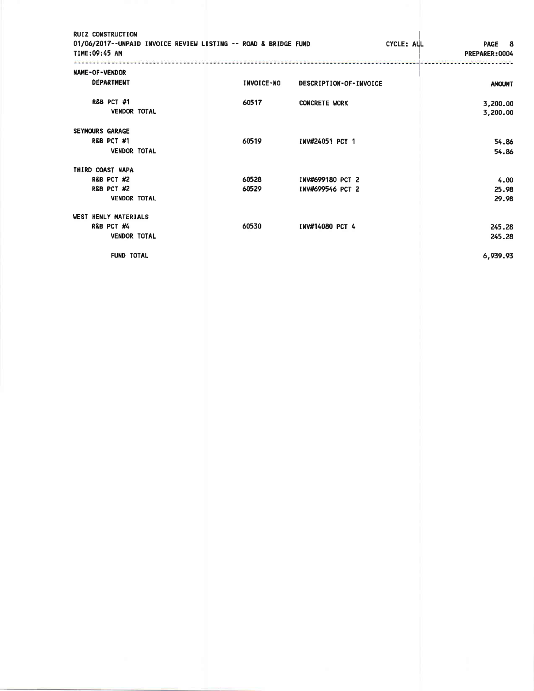| <b>RUIZ CONSTRUCTION</b><br>01/06/2017--UNPAID INVOICE REVIEW LISTING -- ROAD & BRIDGE FUND<br>TIME:09:45 AM |            | CYCLE: ALL             | PAGE 8<br>PREPARER: 0004 |
|--------------------------------------------------------------------------------------------------------------|------------|------------------------|--------------------------|
|                                                                                                              |            |                        |                          |
| NAME-OF-VENDOR                                                                                               |            |                        |                          |
| <b>DEPARTMENT</b>                                                                                            | INVOICE-NO | DESCRIPTION-OF-INVOICE | <b>AMOUNT</b>            |
| <b>R&amp;B PCT #1</b>                                                                                        | 60517      | <b>CONCRETE WORK</b>   | 3,200.00                 |
| <b>VENDOR TOTAL</b>                                                                                          |            |                        | 3,200.00                 |
| <b>SEYMOURS GARAGE</b>                                                                                       |            |                        |                          |
| <b>R&amp;B PCT #1</b>                                                                                        | 60519      | INV#24051 PCT 1        | 54.86                    |
| <b>VENDOR TOTAL</b>                                                                                          |            |                        | 54.86                    |
| THIRD COAST NAPA                                                                                             |            |                        |                          |
| <b>R&amp;B PCT #2</b>                                                                                        | 60528      | INV#699180 PCT 2       | 4.00                     |
| <b>R&amp;B PCT #2</b>                                                                                        | 60529      | INV#699546 PCT 2       | 25.98                    |
| <b>VENDOR TOTAL</b>                                                                                          |            |                        | 29.98                    |
| WEST HENLY MATERIALS                                                                                         |            |                        |                          |
| R&B PCT #4                                                                                                   | 60530      | INV#14080 PCT 4        | 245.28                   |
| <b>VENDOR TOTAL</b>                                                                                          |            |                        | 245.28                   |
| <b>FUND TOTAL</b>                                                                                            |            |                        | 6,939.93                 |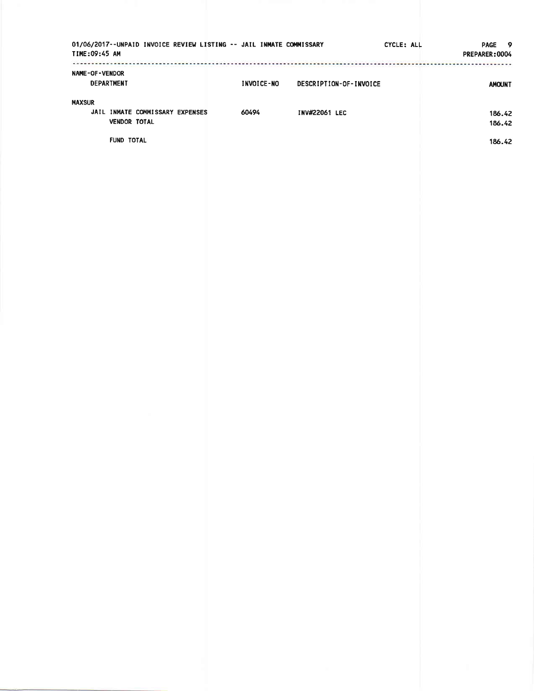| 01/06/2017--UNPAID INVOICE REVIEW LISTING -- JAIL INMATE COMMISSARY<br>TIME: 09:45 AM        |            |                        | CYCLE: ALL | <b>PAGE</b><br>- 9<br>PREPARER: 0004 |
|----------------------------------------------------------------------------------------------|------------|------------------------|------------|--------------------------------------|
| NAME-OF-VENDOR<br><b>DEPARTMENT</b>                                                          | INVOICE-NO | DESCRIPTION-OF-INVOICE |            | <b>AMOUNT</b>                        |
| <b>MAXSUR</b><br>JAIL INMATE COMMISSARY EXPENSES<br><b>VENDOR TOTAL</b><br><b>FUND TOTAL</b> | 60494      | <b>INV#22061 LEC</b>   |            | 186.42<br>186.42<br>186.42           |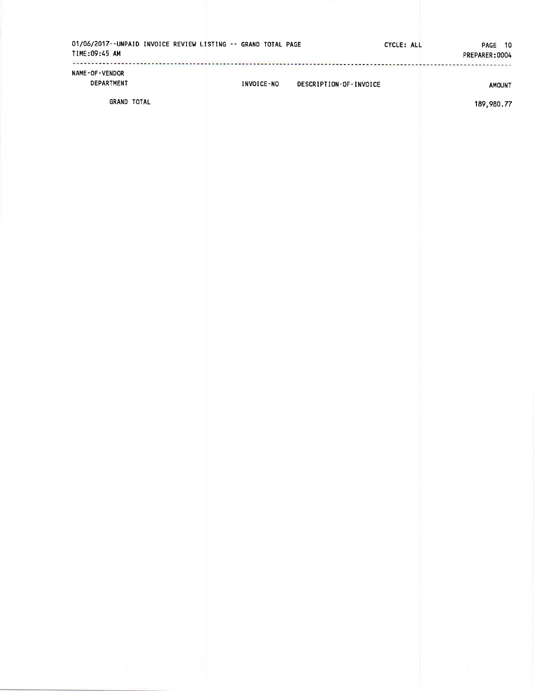| TIME:09:45 AM                       | 01/06/2017--UNPAID INVOICE REVIEW LISTING -- GRAND TOTAL PAGE |            |                        | CYCLE: ALL | 10<br>PAGE<br>PREPARER: 0004 |
|-------------------------------------|---------------------------------------------------------------|------------|------------------------|------------|------------------------------|
| <b>NAME-OF-VENDOR</b><br>DEPARTMENT |                                                               | INVOICE-NO | DESCRIPTION-OF-INVOICE |            | <b>AMOUNT</b>                |
| <b>GRAND TOTAL</b>                  |                                                               |            |                        |            | 189.980.77                   |

189 ,980.77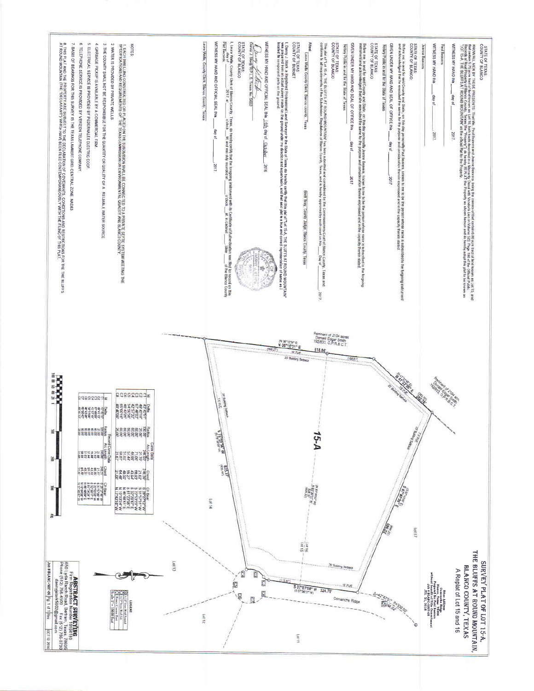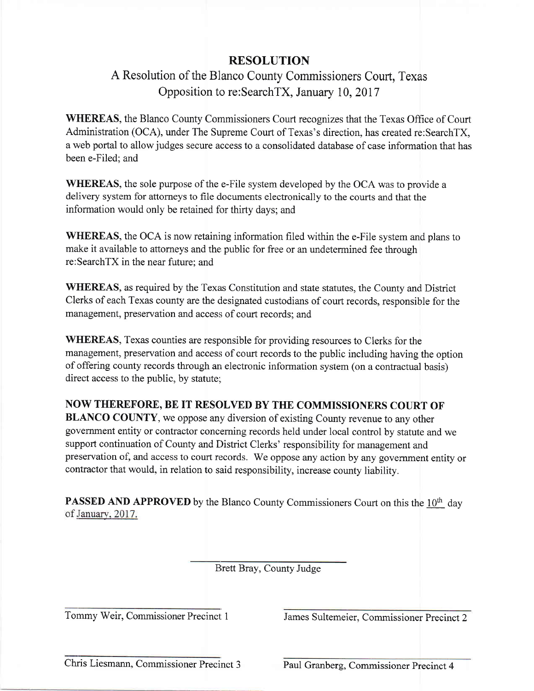#### RESOLUTION

# A Resolution of the Blanco County Commissioners Court, Texas Opposition to re:SearchTX, January 10,2017

WHEREAS, the Blanco County Commissioners Court recognizes that the Texas Office of Court Administration (OCA), under The Supreme Court of Texas's direction, has created re:SearchTX, <sup>a</sup>web portal to allow judges secure access to a consolidated database of case information that has been e-Filed; and

WHEREAS, the sole purpose of the e-File system developed by the OCA was to provide a delivery system for attorneys to file documents electronically to the courts and that the information would only be retained for thirty days; and

WHEREAS, the OCA is now retaining information filed within the e-File system and plans to make it available to attorneys and the public for free or an undetermined fee through re:SearchTX in the near future; and

WHEREAS, as required by the Texas Constitution and state statutes, the County and District Clerks of each Texas county are the designated custodians of court records, responsible for the management, preservation and access of court records; and

WHEREAS, Texas counties are responsible for providing resources to Clerks for the management, preservation and access of court records to the public including having the option of offering county records through an electronic information system (on a contractual basis) direct access to the public, by statute:,

#### NOW THEREFORE, BE IT RESOLVED BY THE COMMISSIONERS COURT OF'

BLANCO COUNTY, we oppose any diversion of existing County revenue to any other government entity or contractor conceming records held under local control by statute and we support continuation of County and District Clerks' responsibility for management and preservation of, and access to court records. We oppose any action by any government entity or contractor that would, in relation to said responsibility, increase county liability.

**PASSED AND APPROVED** by the Blanco County Commissioners Court on this the  $10<sup>th</sup>$  day of January, 2017.

Brett Bray, County Judge

Tommy Weir, Commissioner Precinct 1 James Sultemeier. Commissioner Precinct <sup>2</sup>

Chris Liesmann, Commissioner Precinct 3 Paul Granberg, Commissioner Precinct 4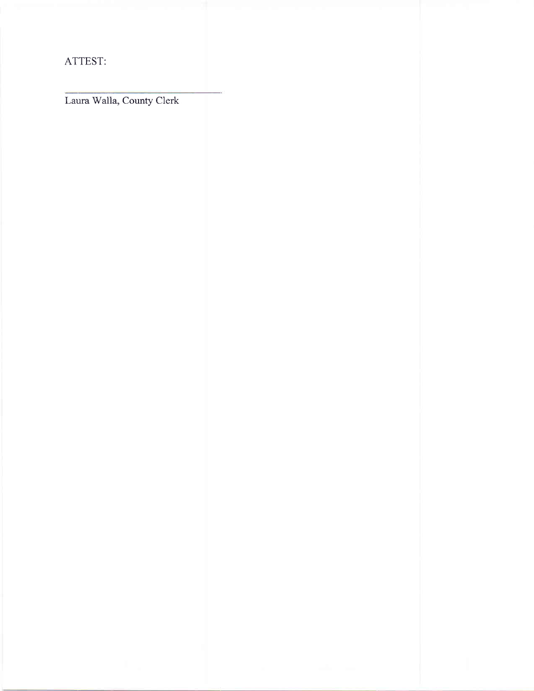ATTEST:

Laura Walla, County Clerk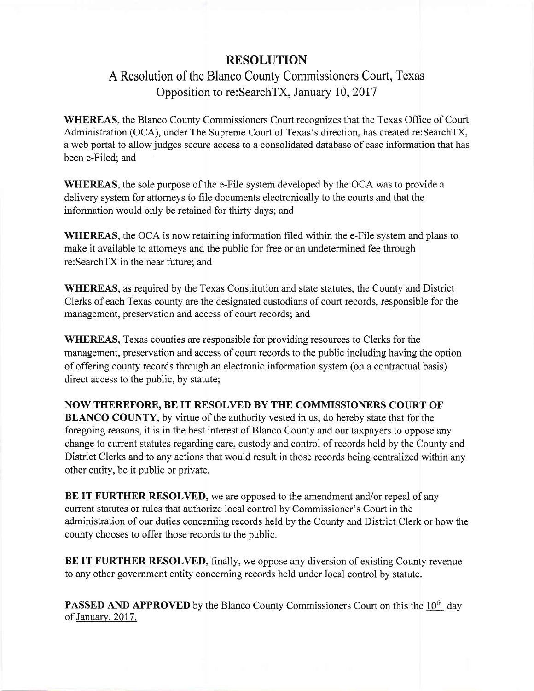### RESOLUTION

# A Resolution of the Blimco County Commissioners Court, Texas Opposition to re:SearchTX, January 10,2017

WHEREAS, the Blanco County Commissioners Court recognizes that the Texas Office of Court Administration (OCA), under The Supreme Court of Texas's direction, has created re:SearchTX, a web portal to allow judges secure aocess to a consolidated database of case information that has been e-Filed; and

WHEREAS, the sole purpose of the e-File system developed by the OCA was to provide a delivery system for attorneys to file documents electronically to the courts and that the information would only be retained for thirty days; and

WHEREAS, the OCA is now retaining information filed within the e-File system and plans to make it available to attorneys and the public for free or an undetermined fee through re:SearchTX in the near future: and

WHEREAS, as required by the Texas Constitution and state statutes, the County and District Clerks of each Texas county are the designated custodians of court records, responsible for the management, preservation and access of court records; and

WHEREAS, Texas counties are responsible for providing resources to Clerks for the management, preservation and access of court records to the public including having the option of offering county records through an electronic information system (on a contractual basis) direct access to the public, by statute;

NOW THEREFORE, BE IT RESOLVED BY THE COMMISSIONERS COURT OF BLANCO COUNTY, by virtue of the authority vested in us, do hereby state that for the foregoing reasons, it is in the best interest of Blanco County and our taxpayers to oppose any

change to current statutes regarding care, custody and control of records held by the County and District Clerks and to any actions that would result in those records being centralized within any other entity, be it public or private.

BE IT FURTHER RESOLVED, we are opposed to the amendment and/or repeal of any current statutes or rules that authorize local control by Commissioner's Court in the administration of our duties concerning records held by the County and District Clerk or how the county chooses to offer those records to the public.

BE IT FURTHER RESOLVED, finally, we oppose any diversion of existing County revenue to any other government entity concerning records held under local control by statute.

**PASSED AND APPROVED** by the Blanco County Commissioners Court on this the 10<sup>th</sup> day of January, 2017.